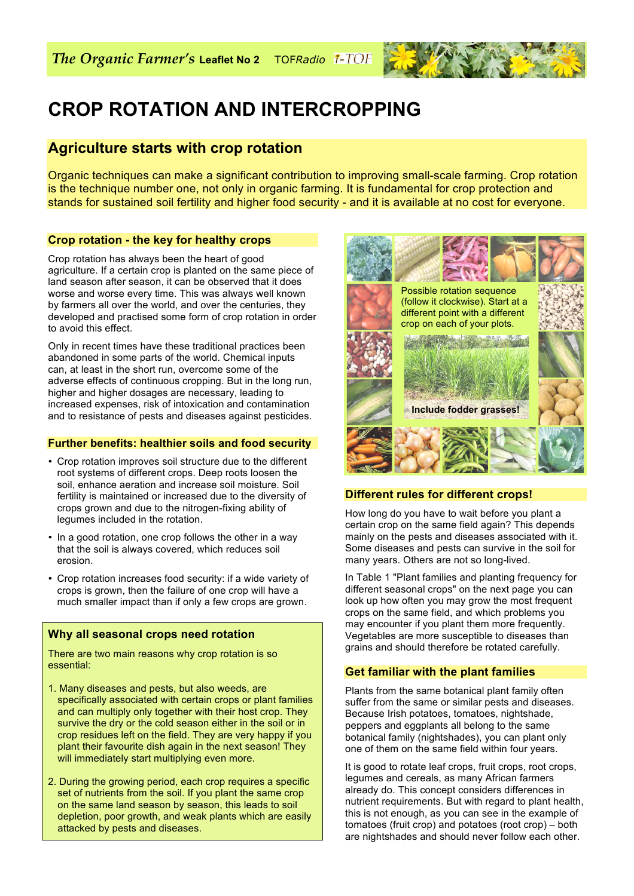

# **CROP ROTATION AND INTERCROPPING**

# **Agriculture starts with crop rotation**

Organic techniques can make a significant contribution to improving small-scale farming. Crop rotation is the technique number one, not only in organic farming. It is fundamental for crop protection and stands for sustained soil fertility and higher food security - and it is available at no cost for everyone.

# **Crop rotation - the key for healthy crops**

Crop rotation has always been the heart of good agriculture. If a certain crop is planted on the same piece of land season after season, it can be observed that it does worse and worse every time. This was always well known by farmers all over the world, and over the centuries, they developed and practised some form of crop rotation in order to avoid this effect.

Only in recent times have these traditional practices been abandoned in some parts of the world. Chemical inputs can, at least in the short run, overcome some of the adverse effects of continuous cropping. But in the long run, higher and higher dosages are necessary, leading to increased expenses, risk of intoxication and contamination and to resistance of pests and diseases against pesticides.

#### **Further benefits: healthier soils and food security**

- Crop rotation improves soil structure due to the different root systems of different crops. Deep roots loosen the soil, enhance aeration and increase soil moisture. Soil fertility is maintained or increased due to the diversity of crops grown and due to the nitrogen-fixing ability of legumes included in the rotation.
- In a good rotation, one crop follows the other in a way that the soil is always covered, which reduces soil erosion.
- Crop rotation increases food security: if a wide variety of crops is grown, then the failure of one crop will have a much smaller impact than if only a few crops are grown.

## **Why all seasonal crops need rotation**

There are two main reasons why crop rotation is so essential:

- 1. Many diseases and pests, but also weeds, are specifically associated with certain crops or plant families and can multiply only together with their host crop. They survive the dry or the cold season either in the soil or in crop residues left on the field. They are very happy if you plant their favourite dish again in the next season! They will immediately start multiplying even more.
- 2. During the growing period, each crop requires a specific set of nutrients from the soil. If you plant the same crop on the same land season by season, this leads to soil depletion, poor growth, and weak plants which are easily attacked by pests and diseases.



# **Different rules for different crops!**

How long do you have to wait before you plant a certain crop on the same field again? This depends mainly on the pests and diseases associated with it. Some diseases and pests can survive in the soil for many years. Others are not so long-lived.

In Table 1 "Plant families and planting frequency for different seasonal crops" on the next page you can look up how often you may grow the most frequent crops on the same field, and which problems you may encounter if you plant them more frequently. Vegetables are more susceptible to diseases than grains and should therefore be rotated carefully.

## **Get familiar with the plant families**

Plants from the same botanical plant family often suffer from the same or similar pests and diseases. Because Irish potatoes, tomatoes, nightshade, peppers and eggplants all belong to the same botanical family (nightshades), you can plant only one of them on the same field within four years.

It is good to rotate leaf crops, fruit crops, root crops, legumes and cereals, as many African farmers already do. This concept considers differences in nutrient requirements. But with regard to plant health, this is not enough, as you can see in the example of tomatoes (fruit crop) and potatoes (root crop) – both are nightshades and should never follow each other.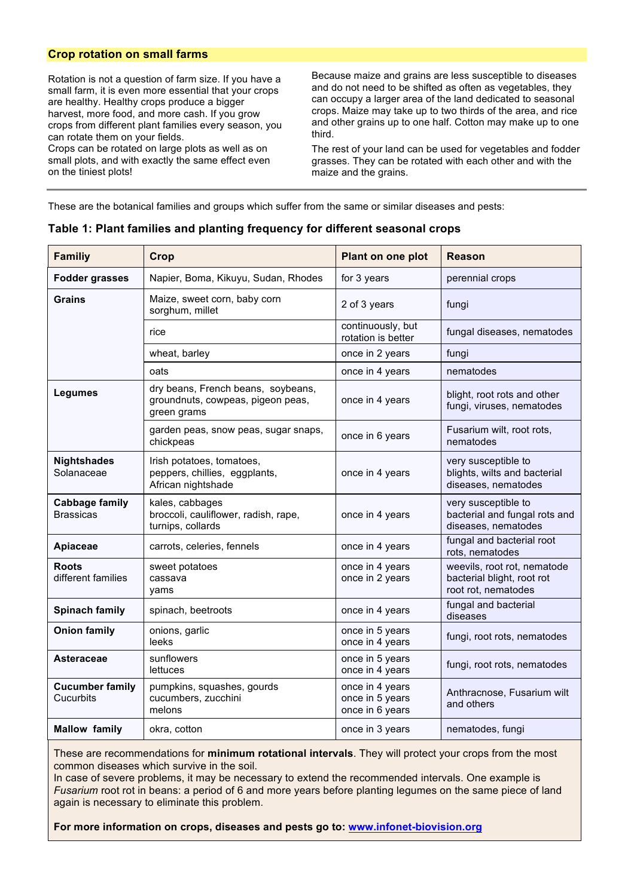#### **Crop rotation on small farms**

Rotation is not a question of farm size. If you have a small farm, it is even more essential that your crops are healthy. Healthy crops produce a bigger harvest, more food, and more cash. If you grow crops from different plant families every season, you can rotate them on your fields.

Crops can be rotated on large plots as well as on small plots, and with exactly the same effect even on the tiniest plots!

Because maize and grains are less susceptible to diseases and do not need to be shifted as often as vegetables, they can occupy a larger area of the land dedicated to seasonal crops. Maize may take up to two thirds of the area, and rice and other grains up to one half. Cotton may make up to one third.

The rest of your land can be used for vegetables and fodder grasses. They can be rotated with each other and with the maize and the grains.

These are the botanical families and groups which suffer from the same or similar diseases and pests:

| <b>Familiy</b>                            | Crop                                                                                   | Plant on one plot                                     | Reason                                                                           |
|-------------------------------------------|----------------------------------------------------------------------------------------|-------------------------------------------------------|----------------------------------------------------------------------------------|
| <b>Fodder grasses</b>                     | Napier, Boma, Kikuyu, Sudan, Rhodes                                                    | for 3 years                                           | perennial crops                                                                  |
| Grains                                    | Maize, sweet corn, baby corn<br>sorghum, millet                                        | 2 of 3 years                                          | fungi                                                                            |
|                                           | rice                                                                                   | continuously, but<br>rotation is better               | fungal diseases, nematodes                                                       |
|                                           | wheat, barley                                                                          | once in 2 years                                       | fungi                                                                            |
|                                           | oats                                                                                   | once in 4 years                                       | nematodes                                                                        |
| <b>Legumes</b>                            | dry beans, French beans, soybeans,<br>groundnuts, cowpeas, pigeon peas,<br>green grams | once in 4 years                                       | blight, root rots and other<br>fungi, viruses, nematodes                         |
|                                           | garden peas, snow peas, sugar snaps,<br>chickpeas                                      | once in 6 years                                       | Fusarium wilt, root rots,<br>nematodes                                           |
| <b>Nightshades</b><br>Solanaceae          | Irish potatoes, tomatoes,<br>peppers, chillies, eggplants,<br>African nightshade       | once in 4 years                                       | very susceptible to<br>blights, wilts and bacterial<br>diseases, nematodes       |
| <b>Cabbage family</b><br><b>Brassicas</b> | kales, cabbages<br>broccoli, cauliflower, radish, rape,<br>turnips, collards           | once in 4 years                                       | very susceptible to<br>bacterial and fungal rots and<br>diseases, nematodes      |
| Apiaceae                                  | carrots, celeries, fennels                                                             | once in 4 years                                       | fungal and bacterial root<br>rots, nematodes                                     |
| <b>Roots</b><br>different families        | sweet potatoes<br>cassava<br>yams                                                      | once in 4 years<br>once in 2 years                    | weevils, root rot, nematode<br>bacterial blight, root rot<br>root rot, nematodes |
| <b>Spinach family</b>                     | spinach, beetroots                                                                     | once in 4 years                                       | fungal and bacterial<br>diseases                                                 |
| <b>Onion family</b>                       | onions, garlic<br>leeks                                                                | once in 5 years<br>once in 4 years                    | fungi, root rots, nematodes                                                      |
| Asteraceae                                | sunflowers<br>lettuces                                                                 | once in 5 years<br>once in 4 years                    | fungi, root rots, nematodes                                                      |
| <b>Cucumber family</b><br>Cucurbits       | pumpkins, squashes, gourds<br>cucumbers, zucchini<br>melons                            | once in 4 years<br>once in 5 years<br>once in 6 years | Anthracnose, Fusarium wilt<br>and others                                         |
| <b>Mallow family</b>                      | okra, cotton                                                                           | once in 3 years                                       | nematodes, fungi                                                                 |

#### **Table 1: Plant families and planting frequency for different seasonal crops**

These are recommendations for **minimum rotational intervals**. They will protect your crops from the most common diseases which survive in the soil.

In case of severe problems, it may be necessary to extend the recommended intervals. One example is *Fusarium* root rot in beans: a period of 6 and more years before planting legumes on the same piece of land again is necessary to eliminate this problem.

**For more information on crops, diseases and pests go to: www.infonet-biovision.org**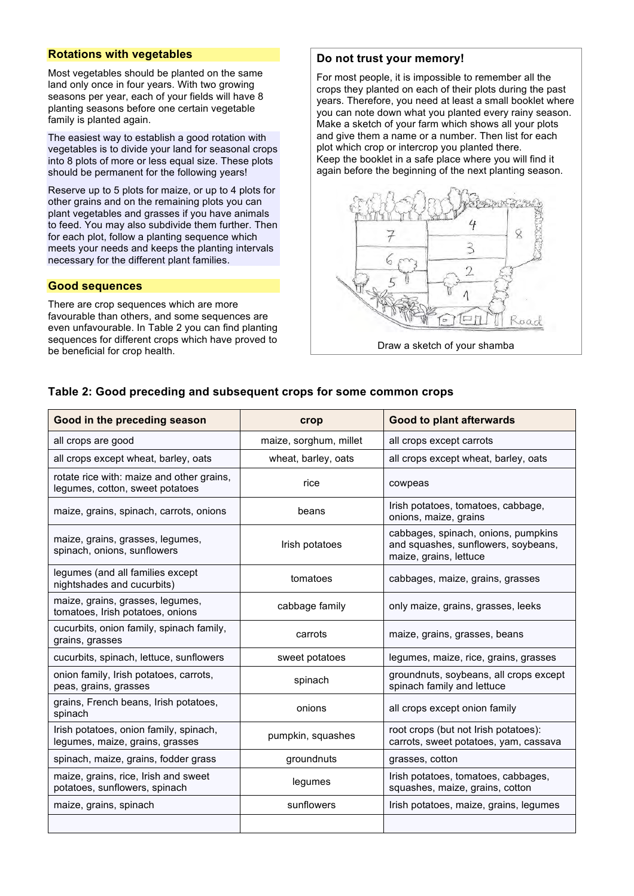#### **Rotations with vegetables**

Most vegetables should be planted on the same land only once in four years. With two growing seasons per year, each of your fields will have 8 planting seasons before one certain vegetable family is planted again.

The easiest way to establish a good rotation with vegetables is to divide your land for seasonal crops into 8 plots of more or less equal size. These plots should be permanent for the following years!

Reserve up to 5 plots for maize, or up to 4 plots for other grains and on the remaining plots you can plant vegetables and grasses if you have animals to feed. You may also subdivide them further. Then for each plot, follow a planting sequence which meets your needs and keeps the planting intervals necessary for the different plant families.

#### **Good sequences**

There are crop sequences which are more favourable than others, and some sequences are even unfavourable. In Table 2 you can find planting sequences for different crops which have proved to be beneficial for crop health.

#### **Do not trust your memory!**

For most people, it is impossible to remember all the crops they planted on each of their plots during the past years. Therefore, you need at least a small booklet where you can note down what you planted every rainy season. Make a sketch of your farm which shows all your plots and give them a name or a number. Then list for each plot which crop or intercrop you planted there. Keep the booklet in a safe place where you will find it again before the beginning of the next planting season.



Draw a sketch of your shamba

#### **Table 2: Good preceding and subsequent crops for some common crops**

| Good in the preceding season                                                 | crop                   | <b>Good to plant afterwards</b>                                                                      |
|------------------------------------------------------------------------------|------------------------|------------------------------------------------------------------------------------------------------|
| all crops are good                                                           | maize, sorghum, millet | all crops except carrots                                                                             |
| all crops except wheat, barley, oats                                         | wheat, barley, oats    | all crops except wheat, barley, oats                                                                 |
| rotate rice with: maize and other grains,<br>legumes, cotton, sweet potatoes | rice                   | cowpeas                                                                                              |
| maize, grains, spinach, carrots, onions                                      | beans                  | Irish potatoes, tomatoes, cabbage,<br>onions, maize, grains                                          |
| maize, grains, grasses, legumes,<br>spinach, onions, sunflowers              | Irish potatoes         | cabbages, spinach, onions, pumpkins<br>and squashes, sunflowers, soybeans,<br>maize, grains, lettuce |
| legumes (and all families except<br>nightshades and cucurbits)               | tomatoes               | cabbages, maize, grains, grasses                                                                     |
| maize, grains, grasses, legumes,<br>tomatoes, Irish potatoes, onions         | cabbage family         | only maize, grains, grasses, leeks                                                                   |
| cucurbits, onion family, spinach family,<br>grains, grasses                  | carrots                | maize, grains, grasses, beans                                                                        |
| cucurbits, spinach, lettuce, sunflowers                                      | sweet potatoes         | legumes, maize, rice, grains, grasses                                                                |
| onion family, Irish potatoes, carrots,<br>peas, grains, grasses              | spinach                | groundnuts, soybeans, all crops except<br>spinach family and lettuce                                 |
| grains, French beans, Irish potatoes,<br>spinach                             | onions                 | all crops except onion family                                                                        |
| Irish potatoes, onion family, spinach,<br>legumes, maize, grains, grasses    | pumpkin, squashes      | root crops (but not Irish potatoes):<br>carrots, sweet potatoes, yam, cassava                        |
| spinach, maize, grains, fodder grass                                         | groundnuts             | grasses, cotton                                                                                      |
| maize, grains, rice, Irish and sweet<br>potatoes, sunflowers, spinach        | legumes                | Irish potatoes, tomatoes, cabbages,<br>squashes, maize, grains, cotton                               |
| maize, grains, spinach                                                       | sunflowers             | Irish potatoes, maize, grains, legumes                                                               |
|                                                                              |                        |                                                                                                      |